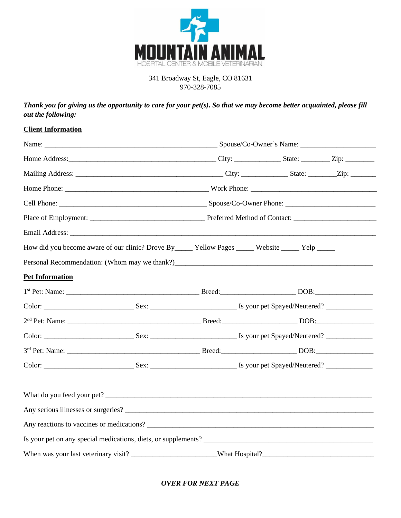

## 341 Broadway St, Eagle, CO 81631 970-328-7085

*Thank you for giving us the opportunity to care for your pet(s). So that we may become better acquainted, please fill out the following:*

## **Client Information**

|                        | How did you become aware of our clinic? Drove By ________ Yellow Pages _______ Website ______ Yelp _______ |  |                |  |
|------------------------|------------------------------------------------------------------------------------------------------------|--|----------------|--|
|                        |                                                                                                            |  |                |  |
| <b>Pet Information</b> |                                                                                                            |  |                |  |
|                        |                                                                                                            |  |                |  |
|                        |                                                                                                            |  |                |  |
|                        |                                                                                                            |  |                |  |
|                        |                                                                                                            |  |                |  |
|                        |                                                                                                            |  |                |  |
|                        |                                                                                                            |  |                |  |
|                        |                                                                                                            |  |                |  |
|                        |                                                                                                            |  |                |  |
|                        | Any reactions to vaccines or medications?                                                                  |  |                |  |
|                        | Is your pet on any special medications, diets, or supplements?                                             |  |                |  |
|                        |                                                                                                            |  | What Hospital? |  |

*OVER FOR NEXT PAGE*